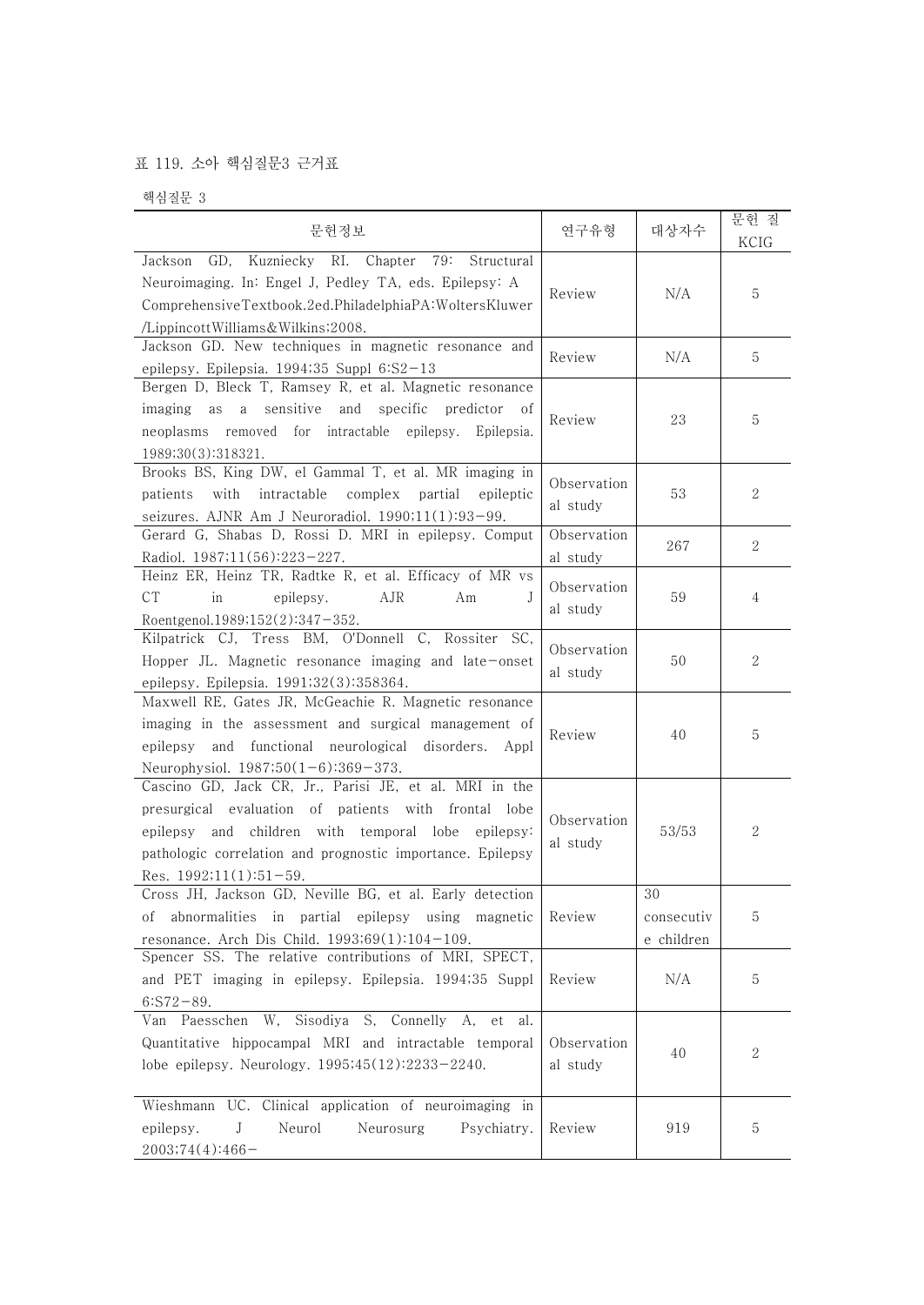## 표 119. 소아 핵심질문3 근거표

핵심질문 3

| 문헌정보                                                                                                                                                                                                                                                            | 연구유형                    | 대상자수                           | 문헌 질<br>KCIG     |
|-----------------------------------------------------------------------------------------------------------------------------------------------------------------------------------------------------------------------------------------------------------------|-------------------------|--------------------------------|------------------|
| Jackson GD, Kuzniecky RI. Chapter 79:<br>Structural<br>Neuroimaging. In: Engel J, Pedley TA, eds. Epilepsy: A<br>ComprehensiveTextbook.2ed.PhiladelphiaPA:WoltersKluwer<br>/LippincottWilliams&Wilkins2008.                                                     | Review                  | N/A                            | 5                |
| Jackson GD. New techniques in magnetic resonance and<br>epilepsy. Epilepsia. 1994;35 Suppl 6:S2-13                                                                                                                                                              | Review                  | N/A                            | 5                |
| Bergen D, Bleck T, Ramsey R, et al. Magnetic resonance<br>imaging as a sensitive and specific<br>predictor<br>- of<br>neoplasms removed for intractable epilepsy. Epilepsia.<br>1989;30(3):318321.                                                              | Review                  | 23                             | 5                |
| Brooks BS, King DW, el Gammal T, et al. MR imaging in<br>patients with<br>intractable<br>complex partial<br>epileptic<br>seizures. AJNR Am J Neuroradiol. 1990;11(1):93-99.                                                                                     | Observation<br>al study | 53                             | $\boldsymbol{2}$ |
| Gerard G, Shabas D, Rossi D. MRI in epilepsy. Comput<br>Radiol. 1987;11(56):223-227.                                                                                                                                                                            | Observation<br>al study | 267                            | $\overline{2}$   |
| Heinz ER, Heinz TR, Radtke R, et al. Efficacy of MR vs<br><b>CT</b><br>in<br>AJR<br>epilepsy.<br>Am<br>J<br>Roentgenol.1989;152(2):347-352.                                                                                                                     | Observation<br>al study | 59                             | 4                |
| Kilpatrick CJ, Tress BM, O'Donnell C, Rossiter SC,<br>Hopper JL. Magnetic resonance imaging and late-onset<br>epilepsy. Epilepsia. 1991;32(3):358364.                                                                                                           | Observation<br>al study | 50                             | 2                |
| Maxwell RE, Gates JR, McGeachie R. Magnetic resonance<br>imaging in the assessment and surgical management of<br>epilepsy and functional neurological disorders. Appl<br>Neurophysiol. 1987;50(1-6):369-373.                                                    | Review                  | 40                             | 5                |
| Cascino GD, Jack CR, Jr., Parisi JE, et al. MRI in the<br>presurgical evaluation of patients with frontal lobe<br>epilepsy and children with temporal lobe epilepsy:<br>pathologic correlation and prognostic importance. Epilepsy<br>Res. $1992:11(1):51-59$ . | Observation<br>al study | 53/53                          | $\boldsymbol{2}$ |
| Cross JH, Jackson GD, Neville BG, et al. Early detection<br>abnormalities in partial epilepsy using magnetic<br>Οİ<br>resonance. Arch Dis Child. 1993;69(1):104-109.                                                                                            | Review                  | 30<br>consecutiv<br>e children | 5                |
| Spencer SS. The relative contributions of MRI, SPECT,<br>and PET imaging in epilepsy. Epilepsia. 1994;35 Suppl<br>$6:ST2-89.$                                                                                                                                   | Review                  | N/A                            | 5                |
| Van Paesschen W, Sisodiya S, Connelly A, et<br>al.<br>Quantitative hippocampal MRI and intractable temporal<br>lobe epilepsy. Neurology. 1995;45(12):2233-2240.                                                                                                 | Observation<br>al study | 40                             | 2                |
| Wieshmann UC. Clinical application of neuroimaging in<br>Neurol<br>Neurosurg<br>Psychiatry.<br>epilepsy.<br>J<br>2003;74(4):466-                                                                                                                                | Review                  | 919                            | 5                |